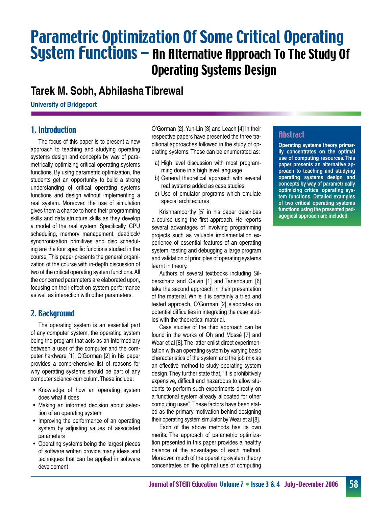# Parametric Optimization Of Some Critical Operating System Functions – An Alternative Approach To The Study Of Operating Systems Design

## **Tarek M. Sobh, Abhilasha Tibrewal**

**University of Bridgeport**

## 1. Introduction

 The focus of this paper is to present a new approach to teaching and studying operating systems design and concepts by way of parametrically optimizing critical operating systems functions. By using parametric optimization, the students get an opportunity to build a strong understanding of critical operating systems functions and design without implementing a real system. Moreover, the use of simulation gives them a chance to hone their programming skills and data structure skills as they develop a model of the real system. Specifically, CPU scheduling, memory management, deadlock/ synchronization primitives and disc scheduling are the four specific functions studied in the course.This paper presents the general organization of the course with in-depth discussion of two of the critical operating system functions.All the concerned parameters are elaborated upon, focusing on their effect on system performance as well as interaction with other parameters.

## 2. Background

 The operating system is an essential part of any computer system, the operating system being the program that acts as an intermediary between a user of the computer and the computer hardware [1]. O'Gorman [2] in his paper provides a comprehensive list of reasons for why operating systems should be part of any computer science curriculum.These include:

- Knowledge of how an operating system does what it does
- Making an informed decision about selection of an operating system
- Improving the performance of an operating system by adjusting values of associated parameters
- • Operating systems being the largest pieces of software written provide many ideas and techniques that can be applied in software development

O'Gorman [2], Yun-Lin [3] and Leach [4] in their respective papers have presented the three traditional approaches followed in the study of operating systems.These can be enumerated as:

- a) High level discussion with most programming done in a high level language
- b) General theoretical approach with several real systems added as case studies
- c) Use of emulator programs which emulate special architectures

 Krishnamoorthy [5] in his paper describes a course using the first approach. He reports several advantages of involving programming projects such as valuable implementation experience of essential features of an operating system, testing and debugging a large program and validation of principles of operating systems learnt in theory.

 Authors of several textbooks including Silberschatz and Galvin [1] and Tanenbaum [6] take the second approach in their presentation of the material. While it is certainly a tried and tested approach, O'Gorman [2] elaborates on potential difficulties in integrating the case studies with the theoretical material.

 Case studies of the third approach can be found in the works of Oh and Mossé [7] and Wear et al [8]. The latter enlist direct experimentation with an operating system by varying basic characteristics of the system and the job mix as an effective method to study operating system design.They further state that, "It is prohibitively expensive, difficult and hazardous to allow students to perform such experiments directly on a functional system already allocated for other computing uses".These factors have been stated as the primary motivation behind designing their operating system simulator by Wear et al [8].

 Each of the above methods has its own merits. The approach of parametric optimization presented in this paper provides a healthy balance of the advantages of each method. Moreover, much of the operating-system theory concentrates on the optimal use of computing

## **Abstract**

**Operating systems theory primarily concentrates on the optimal use of computing resources. This paper presents an alternative approach to teaching and studying operating systems design and concepts by way of parametrically optimizing critical operating system functions. Detailed examples of two critical operating systems functions using the presented pedagogical approach are included.**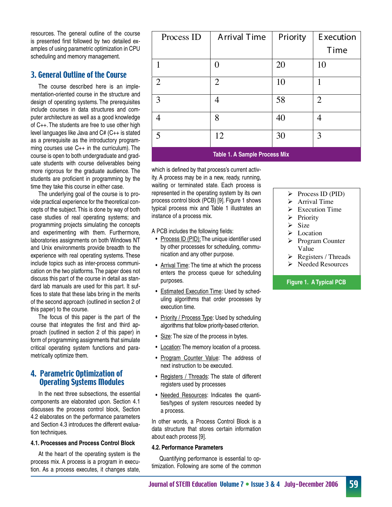resources. The general outline of the course is presented first followed by two detailed examples of using parametric optimization in CPU scheduling and memory management.

## 3. General Outline of the Course

 The course described here is an implementation-oriented course in the structure and design of operating systems. The prerequisites include courses in data structures and computer architecture as well as a good knowledge of C++. The students are free to use other high level languages like Java and C# (C++ is stated as a prerequisite as the introductory programming courses use C++ in the curriculum). The course is open to both undergraduate and graduate students with course deliverables being more rigorous for the graduate audience. The students are proficient in programming by the time they take this course in either case.

 The underlying goal of the course is to provide practical experience for the theoretical concepts of the subject.This is done by way of both case studies of real operating systems; and programming projects simulating the concepts and experimenting with them. Furthermore, laboratories assignments on both Windows NT and Unix environments provide breadth to the experience with real operating systems. These include topics such as inter-process communication on the two platforms.The paper does not discuss this part of the course in detail as standard lab manuals are used for this part. It suffices to state that these labs bring in the merits of the second approach (outlined in section 2 of this paper) to the course.

 The focus of this paper is the part of the course that integrates the first and third approach (outlined in section 2 of this paper) in form of programming assignments that simulate critical operating system functions and parametrically optimize them.

## 4. Parametric Optimization of Operating Systems Modules

 In the next three subsections, the essential components are elaborated upon. Section 4.1 discusses the process control block, Section 4.2 elaborates on the performance parameters and Section 4.3 introduces the different evaluation techniques.

#### **4.1. Processes and Process Control Block**

 At the heart of the operating system is the process mix. A process is a program in execution. As a process executes, it changes state,

| Process ID                           | <b>Arrival Time</b> | Priority | Execution      |  |  |  |  |  |
|--------------------------------------|---------------------|----------|----------------|--|--|--|--|--|
|                                      |                     |          | Time           |  |  |  |  |  |
| 1                                    |                     | 20       | 10             |  |  |  |  |  |
| $\overline{2}$                       | $\overline{2}$      | 10       | 1              |  |  |  |  |  |
| 3                                    | 4                   | 58       | $\overline{2}$ |  |  |  |  |  |
| 4                                    | 8                   | 40       | 4              |  |  |  |  |  |
| 5                                    | 12                  | 30       | 3              |  |  |  |  |  |
| <b>Table 1. A Sample Process Mix</b> |                     |          |                |  |  |  |  |  |

which is defined by that process's current activity. A process may be in a new, ready, running, waiting or terminated state. Each process is represented in the operating system by its own process control block (PCB) [9]. Figure 1 shows typical process mix and Table 1 illustrates an instance of a process mix.

A PCB includes the following fields:

- Process ID (PID): The unique identifier used by other processes for scheduling, communication and any other purpose.
- Arrival Time: The time at which the process enters the process queue for scheduling purposes.
- Estimated Execution Time: Used by scheduling algorithms that order processes by execution time.
- Priority / Process Type: Used by scheduling algorithms that follow priority-based criterion.
- Size: The size of the process in bytes.
- Location: The memory location of a process.
- Program Counter Value: The address of next instruction to be executed.
- Registers / Threads: The state of different registers used by processes
- Needed Resources: Indicates the quantities/types of system resources needed by a process.

In other words, a Process Control Block is a data structure that stores certain information about each process [9].

#### **4.2. Performance Parameters**

 Quantifying performance is essential to optimization. Following are some of the common

- $\triangleright$  Process ID (PID)
- $\triangleright$  Arrival Time
- $\triangleright$  Execution Time
- $\triangleright$  Priority
- $\triangleright$  Size
- $\triangleright$  Location
- **►** Program Counter Value
- $\triangleright$  Registers / Threads
- $\triangleright$  Needed Resources

#### **Figure 1. A Typical PCB**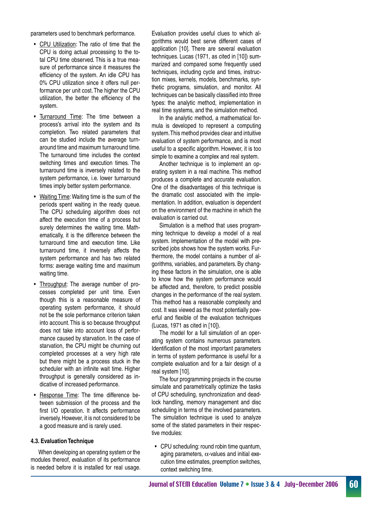parameters used to benchmark performance.

- CPU Utilization: The ratio of time that the CPU is doing actual processing to the total CPU time observed. This is a true measure of performance since it measures the efficiency of the system. An idle CPU has 0% CPU utilization since it offers null performance per unit cost.The higher the CPU utilization, the better the efficiency of the system.
- Turnaround Time: The time between a process's arrival into the system and its completion. Two related parameters that can be studied include the average turnaround time and maximum turnaround time. The turnaround time includes the context switching times and execution times. The turnaround time is inversely related to the system performance, i.e. lower turnaround times imply better system performance.
- Waiting Time: Waiting time is the sum of the periods spent waiting in the ready queue. The CPU scheduling algorithm does not affect the execution time of a process but surely determines the waiting time. Mathematically, it is the difference between the turnaround time and execution time. Like turnaround time, it inversely affects the system performance and has two related forms: average waiting time and maximum waiting time.
- Throughput: The average number of processes completed per unit time. Even though this is a reasonable measure of operating system performance, it should not be the sole performance criterion taken into account.This is so because throughput does not take into account loss of performance caused by starvation. In the case of starvation, the CPU might be churning out completed processes at a very high rate but there might be a process stuck in the scheduler with an infinite wait time. Higher throughput is generally considered as indicative of increased performance.
- • Response Time: The time difference between submission of the process and the first I/O operation. It affects performance inversely.However, it is not considered to be a good measure and is rarely used.

#### **4.3. Evaluation Technique**

 When developing an operating system or the modules thereof, evaluation of its performance is needed before it is installed for real usage. Evaluation provides useful clues to which algorithms would best serve different cases of application [10]. There are several evaluation techniques. Lucas (1971, as cited in [10]) summarized and compared some frequently used techniques, including cycle and times, instruction mixes, kernels, models, benchmarks, synthetic programs, simulation, and monitor. All techniques can be basically classified into three types: the analytic method, implementation in real time systems, and the simulation method.

 In the analytic method, a mathematical formula is developed to represent a computing system.This method provides clear and intuitive evaluation of system performance, and is most useful to a specific algorithm. However, it is too simple to examine a complex and real system.

 Another technique is to implement an operating system in a real machine. This method produces a complete and accurate evaluation. One of the disadvantages of this technique is the dramatic cost associated with the implementation. In addition, evaluation is dependent on the environment of the machine in which the evaluation is carried out.

 Simulation is a method that uses programming technique to develop a model of a real system. Implementation of the model with prescribed jobs shows how the system works. Furthermore, the model contains a number of algorithms, variables, and parameters. By changing these factors in the simulation, one is able to know how the system performance would be affected and, therefore, to predict possible changes in the performance of the real system. This method has a reasonable complexity and cost. It was viewed as the most potentially powerful and flexible of the evaluation techniques (Lucas, 1971 as cited in [10]).

 The model for a full simulation of an operating system contains numerous parameters. Identification of the most important parameters in terms of system performance is useful for a complete evaluation and for a fair design of a real system [10].

 The four programming projects in the course simulate and parametrically optimize the tasks of CPU scheduling, synchronization and deadlock handling, memory management and disc scheduling in terms of the involved parameters. The simulation technique is used to analyze some of the stated parameters in their respective modules:

• CPU scheduling: round robin time quantum, aging parameters,  $\alpha$ -values and initial execution time estimates, preemption switches, context switching time.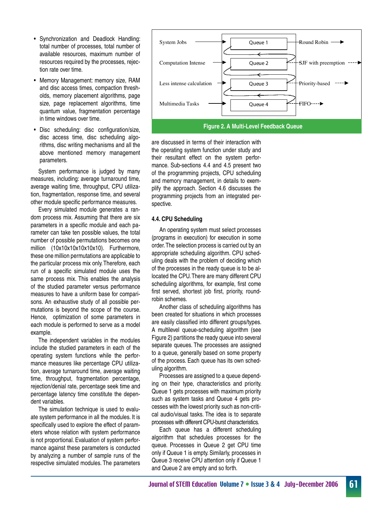- • Synchronization and Deadlock Handling: total number of processes, total number of available resources, maximum number of resources required by the processes, rejection rate over time.
- • Memory Management: memory size, RAM and disc access times, compaction thresholds, memory placement algorithms, page size, page replacement algorithms, time quantum value, fragmentation percentage in time windows over time.
- • Disc scheduling: disc configuration/size, disc access time, disc scheduling algorithms, disc writing mechanisms and all the above mentioned memory management parameters.

 System performance is judged by many measures, including: average turnaround time, average waiting time, throughput, CPU utilization, fragmentation, response time, and several other module specific performance measures.

 Every simulated module generates a random process mix. Assuming that there are six parameters in a specific module and each parameter can take ten possible values, the total number of possible permutations becomes one million (10x10x10x10x10x10). Furthermore, these one million permutations are applicable to the particular process mix only.Therefore, each run of a specific simulated module uses the same process mix. This enables the analysis of the studied parameter versus performance measures to have a uniform base for comparisons. An exhaustive study of all possible permutations is beyond the scope of the course. Hence, optimization of some parameters in each module is performed to serve as a model example.

 The independent variables in the modules include the studied parameters in each of the operating system functions while the performance measures like percentage CPU utilization, average turnaround time, average waiting time, throughput, fragmentation percentage, rejection/denial rate, percentage seek time and percentage latency time constitute the dependent variables.

 The simulation technique is used to evaluate system performance in all the modules. It is specifically used to explore the effect of parameters whose relation with system performance is not proportional. Evaluation of system performance against these parameters is conducted by analyzing a number of sample runs of the respective simulated modules. The parameters



are discussed in terms of their interaction with the operating system function under study and their resultant effect on the system performance. Sub-sections 4.4 and 4.5 present two of the programming projects, CPU scheduling and memory management, in details to exemplify the approach. Section 4.6 discusses the programming projects from an integrated perspective.

#### **4.4. CPU Scheduling**

 An operating system must select processes (programs in execution) for execution in some order.The selection process is carried out by an appropriate scheduling algorithm. CPU scheduling deals with the problem of deciding which of the processes in the ready queue is to be allocated the CPU.There are many different CPU scheduling algorithms, for example, first come first served, shortest job first, priority, roundrobin schemes.

 Another class of scheduling algorithms has been created for situations in which processes are easily classified into different groups/types. A multilevel queue-scheduling algorithm (see Figure 2) partitions the ready queue into several separate queues. The processes are assigned to a queue, generally based on some property of the process. Each queue has its own scheduling algorithm.

 Processes are assigned to a queue depending on their type, characteristics and priority. Queue 1 gets processes with maximum priority such as system tasks and Queue 4 gets processes with the lowest priority such as non-critical audio/visual tasks. The idea is to separate processes with different CPU-burst characteristics.

 Each queue has a different scheduling algorithm that schedules processes for the queue. Processes in Queue 2 get CPU time only if Queue 1 is empty. Similarly, processes in Queue 3 receive CPU attention only if Queue 1 and Queue 2 are empty and so forth.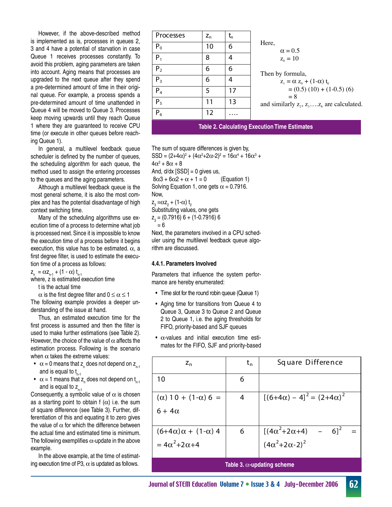However, if the above-described method is implemented as is, processes in queues 2, 3 and 4 have a potential of starvation in case Queue 1 receives processes constantly. To avoid this problem, aging parameters are taken into account. Aging means that processes are upgraded to the next queue after they spend a pre-determined amount of time in their original queue. For example, a process spends a pre-determined amount of time unattended in Queue 4 will be moved to Queue 3. Processes keep moving upwards until they reach Queue 1 where they are guaranteed to receive CPU time (or execute in other queues before reaching Queue 1).

 In general, a multilevel feedback queue scheduler is defined by the number of queues, the scheduling algorithm for each queue, the method used to assign the entering processes to the queues and the aging parameters.

 Although a multilevel feedback queue is the most general scheme, it is also the most complex and has the potential disadvantage of high context switching time.

 Many of the scheduling algorithms use execution time of a process to determine what job is processed next.Since it is impossible to know the execution time of a process before it begins execution, this value has to be estimated.  $\alpha$ , a first degree filter, is used to estimate the execution time of a process as follows:

 $z_{n} = \alpha z_{n-1} + (1 - \alpha) t_{n-1}$ 

where, z is estimated execution time

 t is the actual time

 $\alpha$  is the first degree filter and  $0 \leq \alpha \leq 1$ The following example provides a deeper understanding of the issue at hand.

 Thus, an estimated execution time for the first process is assumed and then the filter is used to make further estimations (see Table 2). However, the choice of the value of  $\alpha$  affects the estimation process. Following is the scenario when  $\alpha$  takes the extreme values:

- $\alpha$  = 0 means that z<sub>n</sub> does not depend on z<sub>n-1</sub> and is equal to t<sub>n-1</sub>
- $\alpha$  = 1 means that z<sub>n</sub> does not depend on t<sub>n-1</sub> and is equal to  $z_{n-1}$

Consequently, a symbolic value of  $\alpha$  is chosen as a starting point to obtain f  $(\alpha)$  i.e. the sum of square difference (see Table 3). Further, differentiation of this and equating it to zero gives the value of  $\alpha$  for which the difference between the actual time and estimated time is minimum. The following exemplifies  $\alpha$ -update in the above example.

 In the above example, at the time of estimating execution time of P3,  $\alpha$  is updated as follows.

| Processes      | $\mathsf{Z}_\mathsf{n}$ | $\mathsf{t}_{\mathsf{n}}$ |
|----------------|-------------------------|---------------------------|
| $P_0$          | 10                      | 6                         |
| $P_1$          | 8                       | 4                         |
| P <sub>2</sub> | 6                       | 6                         |
| $P_3$          | 6                       | 4                         |
| P <sub>4</sub> | 5                       | 17                        |
| $P_5$          | 11                      | 13                        |
| $P_6$          | 12                      |                           |

Here,  $\alpha = 0.5$  $z_0 = 10$ Then by formula,  $z_1 = \alpha z_0 + (1-\alpha) t_0$  $=(0.5)(10) + (1-0.5)(6)$  $= 8$ and similarly  $z_2, z_3, \ldots, z_6$  are calculated.

**Table 2. Calculating Execution Time Estimates**

The sum of square differences is given by, SSD =  $(2+4\alpha)^2 + (4\alpha^2 + 2\alpha - 2)^2 = 16\alpha^4 + 16\alpha^3 +$  $4\alpha^2 + 8\alpha + 8$ And,  $d/dx$  [SSD] = 0 gives us,  $8\alpha$ 3 + 6 $\alpha$ 2 +  $\alpha$  + 1 = 0 (Equation 1) Solving Equation 1, one gets  $\alpha$  = 0.7916. Now,  $z_3 = \alpha z_2 + (1-\alpha) t_2$ Substituting values, one gets  $Z_2 = (0.7916) 6 + (1-0.7916) 6$  = 6 Next, the parameters involved in a CPU sched-

uler using the multilevel feedback queue algorithm are discussed.

#### **4.4.1. Parameters Involved**

Parameters that influence the system performance are hereby enumerated:

- Time slot for the round robin queue (Queue 1)
- Aging time for transitions from Queue 4 to Queue 3, Queue 3 to Queue 2 and Queue 2 to Queue 1, i.e. the aging thresholds for FIFO, priority-based and SJF queues
- $\cdot$   $\alpha$ -values and initial execution time estimates for the FIFO, SJF and priority-based

| $Z_{n}$                            | $t_{n}$ | Square Difference                                            |  |  |  |  |  |  |  |
|------------------------------------|---------|--------------------------------------------------------------|--|--|--|--|--|--|--|
| 10                                 | 6       |                                                              |  |  |  |  |  |  |  |
| $(\alpha)$ 10 + (1- $\alpha$ ) 6 = | 4       | $[(6+4\alpha) - 4]^2 = (2+4\alpha)^2$                        |  |  |  |  |  |  |  |
| $6+4\alpha$                        |         |                                                              |  |  |  |  |  |  |  |
| $(6+4\alpha)\alpha + (1-\alpha)$ 4 | 6       | $[(4\alpha^2+2\alpha+4) - 6]^2$<br>$(4\alpha^2+2\alpha-2)^2$ |  |  |  |  |  |  |  |
| $=4\alpha^2+2\alpha+4$             |         |                                                              |  |  |  |  |  |  |  |
| Table 3. $\alpha$ -updating scheme |         |                                                              |  |  |  |  |  |  |  |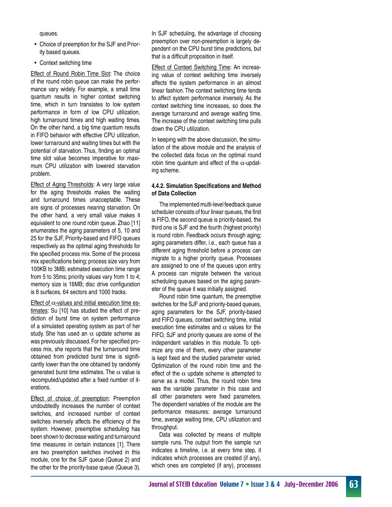queues.

- Choice of preemption for the SJF and Priority based queues.
- Context switching time

**Effect of Round Robin Time Slot: The choice** of the round robin queue can make the performance vary widely. For example, a small time quantum results in higher context switching time, which in turn translates to low system performance in form of low CPU utilization, high turnaround times and high waiting times. On the other hand, a big time quantum results in FIFO behavior with effective CPU utilization, lower turnaround and waiting times but with the potential of starvation. Thus, finding an optimal time slot value becomes imperative for maximum CPU utilization with lowered starvation problem.

Effect of Aging Thresholds: A very large value for the aging thresholds makes the waiting and turnaround times unacceptable. These are signs of processes nearing starvation. On the other hand, a very small value makes it equivalent to one round robin queue. Zhao [11] enumerates the aging parameters of 5, 10 and 25 for the SJF, Priority-based and FIFO queues respectively as the optimal aging thresholds for the specified process mix. Some of the process mix specifications being: process size vary from 100KB to 3MB; estimated execution time range from 5 to 35ms; priority values vary from 1 to 4; memory size is 16MB; disc drive configuration is 8 surfaces, 64 sectors and 1000 tracks.

Effect of  $\alpha$ -values and initial execution time estimates: Su [10] has studied the effect of prediction of burst time on system performance of a simulated operating system as part of her study. She has used an  $\alpha$  update scheme as was previously discussed.For her specified process mix, she reports that the turnaround time obtained from predicted burst time is significantly lower than the one obtained by randomly generated burst time estimates. The  $\alpha$  value is recomputed/updated after a fixed number of iterations.

Effect of choice of preemption: Preemption undoubtedly increases the number of context switches, and increased number of context switches inversely affects the efficiency of the system. However, preemptive scheduling has been shown to decrease waiting and turnaround time measures in certain instances [1]. There are two preemption switches involved in this module, one for the SJF queue (Queue 2) and the other for the priority-base queue (Queue 3).

In SJF scheduling, the advantage of choosing preemption over non-preemption is largely dependent on the CPU burst time predictions, but that is a difficult proposition in itself.

Effect of Context Switching Time: An increasing value of context switching time inversely affects the system performance in an almost linear fashion. The context switching time tends to affect system performance inversely. As the context switching time increases, so does the average turnaround and average waiting time. The increase of the context switching time pulls down the CPU utilization.

In keeping with the above discussion, the simulation of the above module and the analysis of the collected data focus on the optimal round robin time quantum and effect of the  $\alpha$ -updating scheme.

#### **4.4.2. Simulation Specifications and Method of Data Collection**

The implemented multi-level feedback queue scheduler consists of four linear queues, the first is FIFO, the second queue is priority-based, the third one is SJF and the fourth (highest priority) is round robin. Feedback occurs through aging; aging parameters differ, i.e., each queue has a different aging threshold before a process can migrate to a higher priority queue. Processes are assigned to one of the queues upon entry. A process can migrate between the various scheduling queues based on the aging parameter of the queue it was initially assigned.

 Round robin time quantum, the preemptive switches for the SJF and priority-based queues, aging parameters for the SJF, priority-based and FIFO queues, context switching time, initial execution time estimates and  $\alpha$  values for the FIFO, SJF and priority queues are some of the independent variables in this module. To optimize any one of them, every other parameter is kept fixed and the studied parameter varied. Optimization of the round robin time and the effect of the  $\alpha$  update scheme is attempted to serve as a model. Thus, the round robin time was the variable parameter in this case and all other parameters were fixed parameters. The dependent variables of the module are the performance measures: average turnaround time, average waiting time, CPU utilization and throughput.

 Data was collected by means of multiple sample runs. The output from the sample run indicates a timeline, i.e. at every time step, it indicates which processes are created (if any), which ones are completed (if any), processes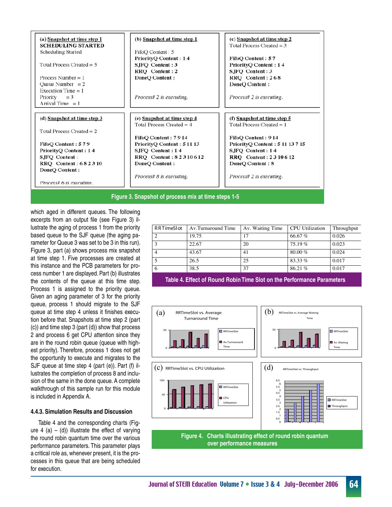

which aged in different queues. The following excerpts from an output file (see Figure 3) illustrate the aging of process 1 from the priority based queue to the SJF queue (the aging parameter for Queue 3 was set to be 3 in this run). Figure 3, part (a) shows process mix snapshot at time step 1. Five processes are created at this instance and the PCB parameters for process number 1 are displayed. Part (b) illustrates the contents of the queue at this time step. Process 1 is assigned to the priority queue. Given an aging parameter of 3 for the priority queue, process 1 should migrate to the SJF queue at time step 4 unless it finishes execution before that. Snapshots at time step 2 (part (c)) and time step 3 (part (d)) show that process 2 and process 6 get CPU attention since they are in the round robin queue (queue with highest priority). Therefore, process 1 does not get the opportunity to execute and migrates to the SJF queue at time step 4 (part (e)). Part (f) illustrates the completion of process 8 and inclusion of the same in the done queue. A complete walkthrough of this sample run for this module is included in Appendix A.

#### **4.4.3. Simulation Results and Discussion**

 Table 4 and the corresponding charts (Figure 4 (a) – (d)) illustrate the effect of varying the round robin quantum time over the various performance parameters. This parameter plays a critical role as, whenever present, it is the processes in this queue that are being scheduled for execution.

| <b>RRTimeSlot</b> | Av.Turnaround Time | Av. Waiting Time | <b>CPU</b> Utilization | Throughput |
|-------------------|--------------------|------------------|------------------------|------------|
|                   | 19.75              | 17               | 66.67%                 | 0.026      |
|                   | 22.67              | 20               | 75.19%                 | 0.023      |
|                   | 43.67              | 41               | 80.00 $%$              | 0.024      |
|                   | 26.5               | 25               | $83.33\%$              | 0.017      |
|                   | 38.5               | 37               | 86.21%                 | 0.017      |

**Table 4. Effect of Round Robin Time Slot on the Performance Parameters**

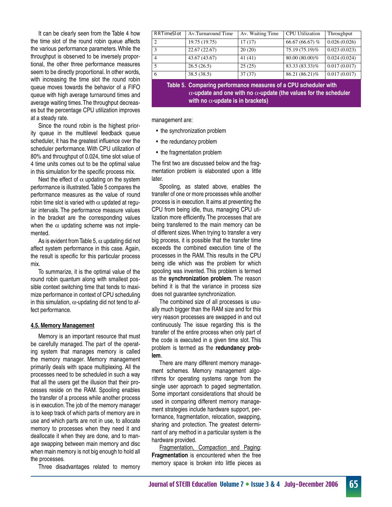It can be clearly seen from the Table 4 how the time slot of the round robin queue affects the various performance parameters. While the throughput is observed to be inversely proportional, the other three performance measures seem to be directly proportional. In other words, with increasing the time slot the round robin queue moves towards the behavior of a FIFO queue with high average turnaround times and average waiting times.The throughput decreases but the percentage CPU utilization improves at a steady rate.

 Since the round robin is the highest priority queue in the multilevel feedback queue scheduler, it has the greatest influence over the scheduler performance. With CPU utilization of 80% and throughput of 0.024, time slot value of 4 time units comes out to be the optimal value in this simulation for the specific process mix.

Next the effect of  $\alpha$  updating on the system performance is illustrated.Table 5 compares the performance measures as the value of round robin time slot is varied with  $\alpha$  updated at regular intervals. The performance measure values in the bracket are the corresponding values when the  $\alpha$  updating scheme was not implemented.

As is evident from Table 5,  $\alpha$  updating did not affect system performance in this case. Again, the result is specific for this particular process mix.

 To summarize, it is the optimal value of the round robin quantum along with smallest possible context switching time that tends to maximize performance in context of CPU scheduling in this simulation,  $\alpha$ -updating did not tend to affect performance.

#### **4.5. Memory Management**

 Memory is an important resource that must be carefully managed. The part of the operating system that manages memory is called the memory manager. Memory management primarily deals with space multiplexing. All the processes need to be scheduled in such a way that all the users get the illusion that their processes reside on the RAM. Spooling enables the transfer of a process while another process is in execution.The job of the memory manager is to keep track of which parts of memory are in use and which parts are not in use, to allocate memory to processes when they need it and deallocate it when they are done, and to manage swapping between main memory and disc when main memory is not big enough to hold all the processes.

 Three disadvantages related to memory

| RRTimeSlot                  | Av.Turnaround Time | Av. Waiting Time | <b>CPU</b> Utilization | Throughput   |
|-----------------------------|--------------------|------------------|------------------------|--------------|
| $\mathcal{D}_{\mathcal{A}}$ | 19.75 (19.75)      | 17(17)           | 66.67 (66.67) $%$      | 0.026(0.026) |
| 3                           | 22.67(22.67)       | 20(20)           | 75.19 (75.19)%         | 0.023(0.023) |
| $\overline{4}$              | 43.67 (43.67)      | 41(41)           | 80.00 (80.00)%         | 0.024(0.024) |
|                             | 26.5(26.5)         | 25(25)           | 83.33 (83.33)%         | 0.017(0.017) |
| 6                           | 38.5(38.5)         | 37(37)           | 86.21 (86.21)%         | 0.017(0.017) |

**Table 5. Comparing performance measures of a CPU scheduler with** α**-update and one with no** α**-update (the values for the scheduler with no** α**-update is in brackets)**

management are:

- the synchronization problem
- the redundancy problem
- the fragmentation problem

The first two are discussed below and the fragmentation problem is elaborated upon a little later.

 Spooling, as stated above, enables the transfer of one or more processes while another process is in execution. It aims at preventing the CPU from being idle, thus, managing CPU utilization more efficiently. The processes that are being transferred to the main memory can be of different sizes.When trying to transfer a very big process, it is possible that the transfer time exceeds the combined execution time of the processes in the RAM. This results in the CPU being idle which was the problem for which spooling was invented. This problem is termed as the **synchronization problem**. The reason behind it is that the variance in process size does not guarantee synchronization.

 The combined size of all processes is usually much bigger than the RAM size and for this very reason processes are swapped in and out continuously. The issue regarding this is the transfer of the entire process when only part of the code is executed in a given time slot. This problem is termed as the **redundancy problem**.

 There are many different memory management schemes. Memory management algorithms for operating systems range from the single user approach to paged segmentation. Some important considerations that should be used in comparing different memory management strategies include hardware support, performance, fragmentation, relocation, swapping, sharing and protection. The greatest determinant of any method in a particular system is the hardware provided.

Fragmentation, Compaction and Paging: **Fragmentation** is encountered when the free memory space is broken into little pieces as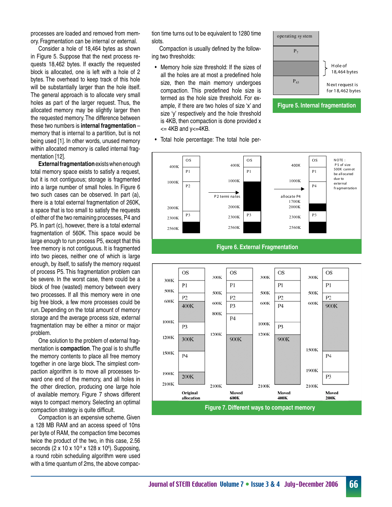processes are loaded and removed from memory. Fragmentation can be internal or external.

 Consider a hole of 18,464 bytes as shown in Figure 5. Suppose that the next process requests 18,462 bytes. If exactly the requested block is allocated, one is left with a hole of 2 bytes. The overhead to keep track of this hole will be substantially larger than the hole itself. The general approach is to allocate very small holes as part of the larger request. Thus, the allocated memory may be slightly larger then the requested memory. The difference between these two numbers is **internal fragmentation** – memory that is internal to a partition, but is not being used [1]. In other words, unused memory within allocated memory is called internal fragmentation [12].

**External fragmentation**existswhenenough total memory space exists to satisfy a request, but it is not contiguous; storage is fragmented into a large number of small holes. In Figure 6 two such cases can be observed. In part (a), there is a total external fragmentation of 260K, a space that is too small to satisfy the requests of either of the two remaining processes, P4 and P5. In part (c), however, there is a total external fragmentation of 560K. This space would be large enough to run process P5, except that this free memory is not contiguous. It is fragmented into two pieces, neither one of which is large enough, by itself, to satisfy the memory request of process P5. This fragmentation problem can be severe. In the worst case, there could be a block of free (wasted) memory between every two processes. If all this memory were in one big free block, a few more processes could be run. Depending on the total amount of memory storage and the average process size, external fragmentation may be either a minor or major problem.

 One solution to the problem of external fragmentation is **compaction**.The goal is to shuffle the memory contents to place all free memory together in one large block. The simplest compaction algorithm is to move all processes toward one end of the memory, and all holes in the other direction, producing one large hole of available memory. Figure 7 shows different ways to compact memory. Selecting an optimal compaction strategy is quite difficult.

 Compaction is an expensive scheme. Given a 128 MB RAM and an access speed of 10ns per byte of RAM, the compaction time becomes twice the product of the two, in this case, 2.56 seconds (2 x 10 x 10 $\degree$  x 128 x 10 $\degree$ ). Supposing, a round robin scheduling algorithm were used with a time quantum of 2ms, the above compaction time turns out to be equivalent to 1280 time slots.

 Compaction is usually defined by the following two thresholds:

• Memory hole size threshold: If the sizes of all the holes are at most a predefined hole size, then the main memory undergoes compaction. This predefined hole size is termed as the hole size threshold. For example, if there are two holes of size 'x' and size 'y' respectively and the hole threshold is 4KB, then compaction is done provided x  $\leq$  4KB and y $\leq$  4KB.

• Total hole percentage: The total hole per-



**Figure 5. Internal fragmentation**



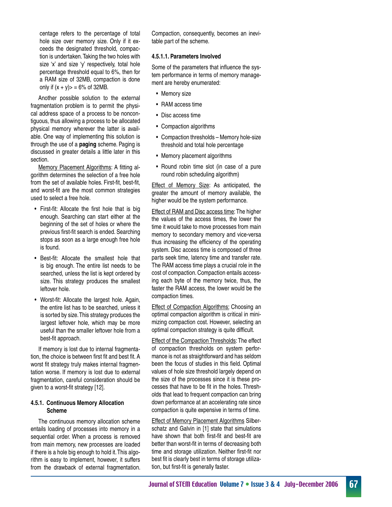centage refers to the percentage of total hole size over memory size. Only if it exceeds the designated threshold, compaction is undertaken.Taking the two holes with size 'x' and size 'y' respectively, total hole percentage threshold equal to 6%, then for a RAM size of 32MB, compaction is done only if  $(x + y) > 6$ % of 32MB.

 Another possible solution to the external fragmentation problem is to permit the physical address space of a process to be noncontiguous, thus allowing a process to be allocated physical memory wherever the latter is available. One way of implementing this solution is through the use of a **paging** scheme. Paging is discussed in greater details a little later in this section.

Memory Placement Algorithms: A fitting algorithm determines the selection of a free hole from the set of available holes. First-fit, best-fit, and worst-fit are the most common strategies used to select a free hole.

- • First-fit: Allocate the first hole that is big enough. Searching can start either at the beginning of the set of holes or where the previous first-fit search is ended. Searching stops as soon as a large enough free hole is found.
- • Best-fit: Allocate the smallest hole that is big enough. The entire list needs to be searched, unless the list is kept ordered by size. This strategy produces the smallest leftover hole.
- • Worst-fit: Allocate the largest hole. Again, the entire list has to be searched, unless it is sorted by size.This strategy produces the largest leftover hole, which may be more useful than the smaller leftover hole from a best-fit approach.

 If memory is lost due to internal fragmentation, the choice is between first fit and best fit. A worst fit strategy truly makes internal fragmentation worse. If memory is lost due to external fragmentation, careful consideration should be given to a worst-fit strategy [12].

#### **4.5.1. Continuous Memory Allocation Scheme**

 The continuous memory allocation scheme entails loading of processes into memory in a sequential order. When a process is removed from main memory, new processes are loaded if there is a hole big enough to hold it.This algorithm is easy to implement, however, it suffers from the drawback of external fragmentation. Compaction, consequently, becomes an inevitable part of the scheme.

#### **4.5.1.1. Parameters Involved**

Some of the parameters that influence the system performance in terms of memory management are hereby enumerated:

- Memory size
- RAM access time
- Disc access time
- • Compaction algorithms
- Compaction thresholds Memory hole-size threshold and total hole percentage
- Memory placement algorithms
- Round robin time slot (in case of a pure round robin scheduling algorithm)

Effect of Memory Size: As anticipated, the greater the amount of memory available, the higher would be the system performance.

Effect of RAM and Disc access time:The higher the values of the access times, the lower the time it would take to move processes from main memory to secondary memory and vice-versa thus increasing the efficiency of the operating system. Disc access time is composed of three parts seek time, latency time and transfer rate. The RAM access time plays a crucial role in the cost of compaction.Compaction entails accessing each byte of the memory twice, thus, the faster the RAM access, the lower would be the compaction times.

**Effect of Compaction Algorithms: Choosing an** optimal compaction algorithm is critical in minimizing compaction cost. However, selecting an optimal compaction strategy is quite difficult.

Effect of the Compaction Thresholds: The effect of compaction thresholds on system performance is not as straightforward and has seldom been the focus of studies in this field. Optimal values of hole size threshold largely depend on the size of the processes since it is these processes that have to be fit in the holes. Thresholds that lead to frequent compaction can bring down performance at an accelerating rate since compaction is quite expensive in terms of time.

Effect of Memory Placement Algorithms Silberschatz and Galvin in [1] state that simulations have shown that both first-fit and best-fit are better than worst-fit in terms of decreasing both time and storage utilization. Neither first-fit nor best fit is clearly best in terms of storage utilization, but first-fit is generally faster.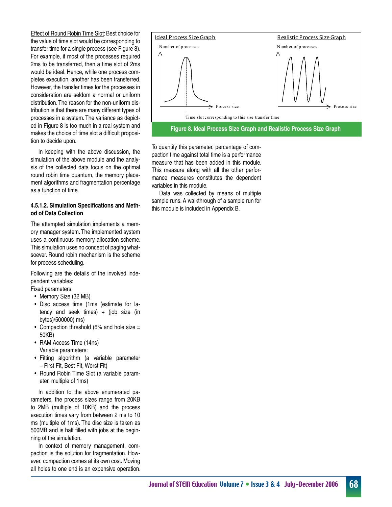Effect of Round Robin Time Slot: Best choice for the value of time slot would be corresponding to transfer time for a single process (see Figure 8). For example, if most of the processes required 2ms to be transferred, then a time slot of 2ms would be ideal. Hence, while one process completes execution, another has been transferred. However, the transfer times for the processes in consideration are seldom a normal or uniform distribution.The reason for the non-uniform distribution is that there are many different types of processes in a system. The variance as depicted in Figure 8 is too much in a real system and makes the choice of time slot a difficult proposition to decide upon.

 In keeping with the above discussion, the simulation of the above module and the analysis of the collected data focus on the optimal round robin time quantum, the memory placement algorithms and fragmentation percentage as a function of time.

#### **4.5.1.2. Simulation Specifications and Method of Data Collection**

The attempted simulation implements a memory manager system. The implemented system uses a continuous memory allocation scheme. This simulation uses no concept of paging whatsoever. Round robin mechanism is the scheme for process scheduling.

Following are the details of the involved independent variables:

Fixed parameters:

- Memory Size (32 MB)
- • Disc access time (1ms (estimate for latency and seek times) + (job size (in bytes)/500000) ms)
- Compaction threshold (6% and hole size  $=$ 50KB)
- RAM Access Time (14ns) Variable parameters:
- • Fitting algorithm (a variable parameter – First Fit, Best Fit, Worst Fit)
- Round Robin Time Slot (a variable parameter, multiple of 1ms)

In addition to the above enumerated parameters, the process sizes range from 20KB to 2MB (multiple of 10KB) and the process execution times vary from between 2 ms to 10 ms (multiple of 1ms). The disc size is taken as 500MB and is half filled with jobs at the beginning of the simulation.

 In context of memory management, compaction is the solution for fragmentation. However, compaction comes at its own cost.Moving all holes to one end is an expensive operation.



To quantify this parameter, percentage of compaction time against total time is a performance measure that has been added in this module. This measure along with all the other performance measures constitutes the dependent variables in this module.

 Data was collected by means of multiple sample runs. A walkthrough of a sample run for this module is included in Appendix B.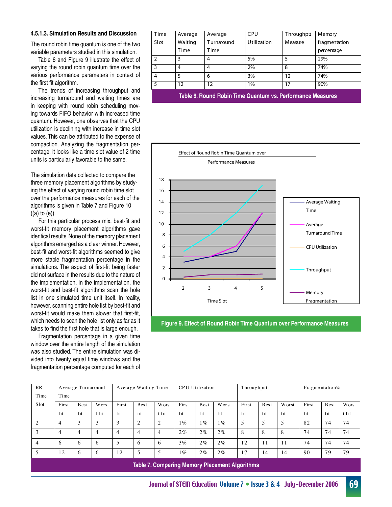#### **4.5.1.3. Simulation Results and Discussion**

The round robin time quantum is one of the two variable parameters studied in this simulation.

 Table 6 and Figure 9 illustrate the effect of varying the round robin quantum time over the various performance parameters in context of the first fit algorithm.

 The trends of increasing throughput and increasing turnaround and waiting times are in keeping with round robin scheduling moving towards FIFO behavior with increased time quantum. However, one observes that the CPU utilization is declining with increase in time slot values.This can be attributed to the expense of compaction. Analyzing the fragmentation percentage, it looks like a time slot value of 2 time units is particularly favorable to the same.

The simulation data collected to compare the three memory placement algorithms by studying the effect of varying round robin time slot over the performance measures for each of the algorithms is given in Table 7 and Figure 10  $((a)$  to  $(e)$ ).

 For this particular process mix, best-fit and worst-fit memory placement algorithms gave identical results. None of the memory placement algorithms emerged as a clear winner.However, best-fit and worst-fit algorithms seemed to give more stable fragmentation percentage in the simulations. The aspect of first-fit being faster did not surface in the results due to the nature of the implementation. In the implementation, the worst-fit and best-fit algorithms scan the hole list in one simulated time unit itself. In reality, however, scanning entire hole list by best-fit and worst-fit would make them slower that first-fit, which needs to scan the hole list only as far as it takes to find the first hole that is large enough.

 Fragmentation percentage in a given time window over the entire length of the simulation was also studied. The entire simulation was divided into twenty equal time windows and the fragmentation percentage computed for each of

| Time          | Average                                                    | Average    | CPU                | Throughpt | Memory        |  |  |  |  |  |
|---------------|------------------------------------------------------------|------------|--------------------|-----------|---------------|--|--|--|--|--|
| Slot          | Waiting                                                    | Turnaround | <b>Utilization</b> | Measure   | fragmentation |  |  |  |  |  |
|               | Time                                                       | Time       |                    |           | percentage    |  |  |  |  |  |
| $\mathcal{P}$ | 3                                                          | 4          | 5%                 | 5         | 29%           |  |  |  |  |  |
| 3             | 4                                                          | 4          | 2%                 | 8         | 74%           |  |  |  |  |  |
| 4             | 5                                                          | 6          | 3%                 | 12        | 74%           |  |  |  |  |  |
| 5             | 12                                                         | 12         | $1\%$              | 17        | 90%           |  |  |  |  |  |
|               | Table 6. Round Robin Time Quantum vs. Performance Measures |            |                    |           |               |  |  |  |  |  |



**Figure 9. Effect of Round Robin Time Quantum over Performance Measures**

| RR             |       | Average Turnaround |       |       | Average Waiting Time |                |       | CPU Utilization |                                                       | Throughput |      |       | Fragmentation $%$ |      |              |
|----------------|-------|--------------------|-------|-------|----------------------|----------------|-------|-----------------|-------------------------------------------------------|------------|------|-------|-------------------|------|--------------|
| Time           | Time  |                    |       |       |                      |                |       |                 |                                                       |            |      |       |                   |      |              |
| Slot           | First | <b>B</b> est       | Wors  | First | Best                 | <b>W</b> ors   | First | <b>B</b> est    | W or st                                               | First      | Best | Worst | First             | Best | <b>W</b> ors |
|                | fit   | fit                | t fit | fit   | fit                  | t fit          | fit   | fit             | fit                                                   | fit        | fit  | fit   | fit               | fit  | t fit        |
| $\overline{c}$ | 4     | 3                  | 3     | 3     | $\overline{2}$       | 2              | $1\%$ | $1\%$           | $1\%$                                                 | 5          | 5    |       | 82                | 74   | 74           |
| 3              | 4     | $\overline{4}$     | 4     | 4     | $\overline{4}$       | $\overline{4}$ | $2\%$ | $2\%$           | 2%                                                    | 8          | 8    | 8     | 74                | 74   | 74           |
| 4              | 6     | 6                  | 6     | 5     | 6                    | 6              | $3\%$ | $2\%$           | $2\%$                                                 | 12         | 11   | 11    | 74                | 74   | 74           |
|                | 12    | 6                  | 6     | 12    | 5                    | 5              | $1\%$ | $2\%$           | $2\%$                                                 | 17         | 14   | 14    | 90                | 79   | 79           |
|                |       |                    |       |       |                      |                |       |                 | <b>Table 7. Comparing Memory Placement Algorithms</b> |            |      |       |                   |      |              |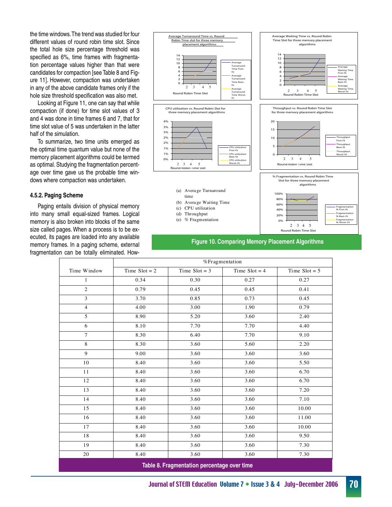the time windows.The trend was studied for four different values of round robin time slot. Since the total hole size percentage threshold was specified as 6%, time frames with fragmentation percentage values higher than that were candidates for compaction [see Table 8 and Figure 11]. However, compaction was undertaken in any of the above candidate frames only if the hole size threshold specification was also met.

 Looking at Figure 11, one can say that while compaction (if done) for time slot values of 3 and 4 was done in time frames 6 and 7, that for time slot value of 5 was undertaken in the latter half of the simulation.

 To summarize, two time units emerged as the optimal time quantum value but none of the memory placement algorithms could be termed as optimal. Studying the fragmentation percentage over time gave us the probable time windows where compaction was undertaken.

#### **4.5.2. Paging Scheme**

 Paging entails division of physical memory into many small equal-sized frames. Logical memory is also broken into blocks of the same size called pages. When a process is to be executed, its pages are loaded into any available memory frames. In a paging scheme, external fragmentation can be totally eliminated. How-



#### **Figure 10. Comparing Memory Placement Algorithms**

|                | %Fragmentation  |                 |                 |                 |  |  |  |  |
|----------------|-----------------|-----------------|-----------------|-----------------|--|--|--|--|
| Time Window    | Time $Slot = 2$ | Time $Slot = 3$ | Time Slot = $4$ | Time $Slot = 5$ |  |  |  |  |
| $\mathbf{1}$   | 0.34            | 0.30            | 0.27            | 0.27            |  |  |  |  |
| $\overline{c}$ | 0.79            | 0.45            | 0.45            | 0.41            |  |  |  |  |
| $\mathfrak{Z}$ | 3.70            | 0.85            | 0.73            | 0.45            |  |  |  |  |
| $\overline{4}$ | 4.00            | 3.00            | 1.90            | 0.79            |  |  |  |  |
| 5              | 8.90            | 5.20            | 3.60            | 2.40            |  |  |  |  |
| 6              | 8.10            | 7.70            | 7.70            | 4.40            |  |  |  |  |
| $\overline{7}$ | 8.30            | 6.40            | 7.70            | 9.10            |  |  |  |  |
| 8              | 8.30            | 3.60            | 5.60            | 2.20            |  |  |  |  |
| 9              | 9.00            | 3.60            | 3.60            | 3.60            |  |  |  |  |
| 10             | 8.40            | 3.60            | 3.60            | 5.50            |  |  |  |  |
| 11             | 8.40            | 3.60            | 3.60            | 6.70            |  |  |  |  |
| 12             | 8.40            | 3.60            | 3.60            | 6.70            |  |  |  |  |
| 13             | 8.40            | 3.60            | 3.60            | 7.20            |  |  |  |  |
| 14             | 8.40            | 3.60            | 3.60            | 7.10            |  |  |  |  |
| 15             | 8.40            | 3.60            | 3.60            | 10.00           |  |  |  |  |
| 16             | 8.40            | 3.60            | 3.60            | 11.00           |  |  |  |  |
| 17             | 8.40            | 3.60            | 3.60            | 10.00           |  |  |  |  |
| 18             | 8.40            | 3.60            | 3.60            | 9.50            |  |  |  |  |
| 19             | 8.40            | 3.60            | 3.60            | 7.30            |  |  |  |  |
| 20             | 8.40            | 3.60            | 3.60            | 7.30            |  |  |  |  |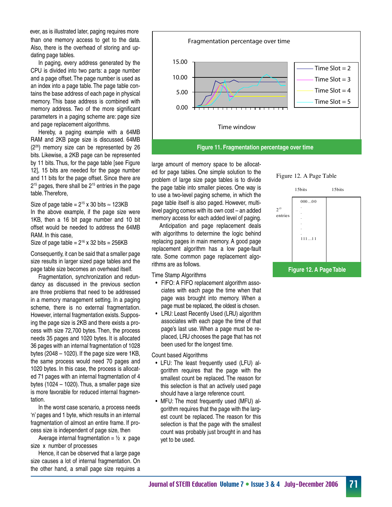than one memory access to get to the data. Also, there is the overhead of storing and updating page tables. ever, as is illustrated later, paging requires more

 In paging, every address generated by the CPU is divided into two parts: a page number and a page offset.The page number is used as an index into a page table. The page table contains the base address of each page in physical memory. This base address is combined with memory address. Two of the more significant parameters in a paging scheme are: page size and page replacement algorithms.

 Hereby, a paging example with a 64MB RAM and 2KB page size is discussed. 64MB (226) memory size can be represented by 26 bits. Likewise, a 2KB page can be represented by 11 bits. Thus, for the page table [see Figure 12], 15 bits are needed for the page number and 11 bits for the page offset. Since there are 215 pages, there shall be 215 entries in the page table.Therefore,

Size of page table =  $2^{15}$  x 30 bits  $\approx$  123KB In the above example, if the page size were 1KB, then a 16 bit page number and 10 bit offset would be needed to address the 64MB RAM. In this case,

Size of page table =  $2^{16}$  x 32 bits = 256KB

Consequently, it can be said that a smaller page size results in larger sized page tables and the page table size becomes an overhead itself.

 Fragmentation, synchronization and redundancy as discussed in the previous section are three problems that need to be addressed in a memory management setting. In a paging scheme, there is no external fragmentation. However, internal fragmentation exists. Supposing the page size is 2KB and there exists a process with size 72,700 bytes. Then, the process needs 35 pages and 1020 bytes. It is allocated 36 pages with an internal fragmentation of 1028 bytes  $(2048 - 1020)$ . If the page size were 1KB, the same process would need 70 pages and 1020 bytes. In this case, the process is allocated 71 pages with an internal fragmentation of 4 bytes (1024 – 1020). Thus, a smaller page size is more favorable for reduced internal fragmentation.

 In the worst case scenario, a process needs 'n' pages and 1 byte, which results in an internal fragmentation of almost an entire frame. If process size is independent of page size, then

Average internal fragmentation =  $\frac{1}{2}$  x page size x number of processes

 Hence, it can be observed that a large page size causes a lot of internal fragmentation. On the other hand, a small page size requires a



large amount of memory space to be allocated for page tables. One simple solution to the problem of large size page tables is to divide the page table into smaller pieces. One way is to use a two-level paging scheme, in which the page table itself is also paged. However, multilevel paging comes with its own cost – an added memory access for each added level of paging.

 Anticipation and page replacement deals with algorithms to determine the logic behind replacing pages in main memory. A good page replacement algorithm has a low page-fault rate. Some common page replacement algorithms are as follows.

Time Stamp Algorithms

- FIFO: A FIFO replacement algorithm associates with each page the time when that page was brought into memory. When a page must be replaced, the oldest is chosen.
- • LRU: Least Recently Used (LRU) algorithm associates with each page the time of that page's last use. When a page must be replaced, LRU chooses the page that has not been used for the longest time.

Count based Algorithms

- • LFU: The least frequently used (LFU) algorithm requires that the page with the smallest count be replaced. The reason for this selection is that an actively used page should have a large reference count.
- MFU: The most frequently used (MFU) algorithm requires that the page with the largest count be replaced. The reason for this selection is that the page with the smallest count was probably just brought in and has yet to be used.

## Figure 12. A Page Table

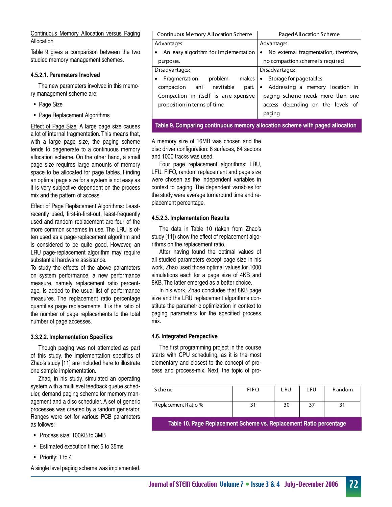#### Continuous Memory Allocation versus Paging Allocation

Table 9 gives a comparison between the two studied memory management schemes.

#### **4.5.2.1. Parameters Involved**

 The new parameters involved in this memory management scheme are:

- Page Size
- • Page Replacement Algorithms

**Effect of Page Size: A large page size causes** a lot of internal fragmentation. This means that, with a large page size, the paging scheme tends to degenerate to a continuous memory allocation scheme. On the other hand, a small page size requires large amounts of memory space to be allocated for page tables. Finding an optimal page size for a system is not easy as it is very subjective dependent on the process mix and the pattern of access.

Effect of Page Replacement Algorithms: Leastrecently used, first-in-first-out, least-frequently used and random replacement are four of the more common schemes in use. The LRU is often used as a page-replacement algorithm and is considered to be quite good. However, an LRU page-replacement algorithm may require substantial hardware assistance.

To study the effects of the above parameters on system performance, a new performance measure, namely replacement ratio percentage, is added to the usual list of performance measures. The replacement ratio percentage quantifies page replacements. It is the ratio of the number of page replacements to the total number of page accesses.

#### **3.3.2.2. Implementation Specifics**

 Though paging was not attempted as part of this study, the implementation specifics of Zhao's study [11] are included here to illustrate one sample implementation.

 Zhao, in his study, simulated an operating system with a multilevel feedback queue scheduler, demand paging scheme for memory management and a disc scheduler. A set of generic processes was created by a random generator. Ranges were set for various PCB parameters as follows:

- • Process size: 100KB to 3MB
- Estimated execution time: 5 to 35ms
- Priority: 1 to 4

A single level paging scheme was implemented.

| <b>Continuous Memory Allocation Scheme</b> | Paged Allocation Scheme                 |
|--------------------------------------------|-----------------------------------------|
| Advantages:                                | Advantages:                             |
| • An easy algorithm for implementation     | • No external fragmentation, therefore, |
| purposes.                                  | no compaction scheme is required.       |
| Disadvantages:                             | Disadvantages:                          |
| problem makes<br>• Fragmentation           | • Storage for pagetables.               |
| compaction ani nevitable<br>part.          | • Addressing a memory location in       |
| Compaction in itself is ane xpensive       | paging scheme needs more than one       |
| proposition in terms of time.              | access depending on the levels of       |
|                                            | pagng.                                  |
|                                            |                                         |

**Table 9. Comparing continuous memory allocation scheme with paged allocation**

A memory size of 16MB was chosen and the disc driver configuration: 8 surfaces, 64 sectors and 1000 tracks was used.

 Four page replacement algorithms: LRU, LFU, FIFO, random replacement and page size were chosen as the independent variables in context to paging. The dependent variables for the study were average turnaround time and replacement percentage.

#### **4.5.2.3. Implementation Results**

 The data in Table 10 (taken from Zhao's study [11]) show the effect of replacement algorithms on the replacement ratio.

 After having found the optimal values of all studied parameters except page size in his work, Zhao used those optimal values for 1000 simulations each for a page size of 4KB and 8KB.The latter emerged as a better choice.

 In his work, Zhao concludes that 8KB page size and the LRU replacement algorithms constitute the parametric optimization in context to paging parameters for the specified process mix.

#### **4.6. Integrated Perspective**

 The first programming project in the course starts with CPU scheduling, as it is the most elementary and closest to the concept of process and process-mix. Next, the topic of pro-

| Scheme                                                             | <b>FIFO</b> | l Ru | i Fu | R andom |  |  |  |  |  |  |
|--------------------------------------------------------------------|-------------|------|------|---------|--|--|--|--|--|--|
| Replacement Ratio %                                                | 31          | 30   | 37   | 31      |  |  |  |  |  |  |
| Table 10. Page Replacement Scheme vs. Replacement Ratio percentage |             |      |      |         |  |  |  |  |  |  |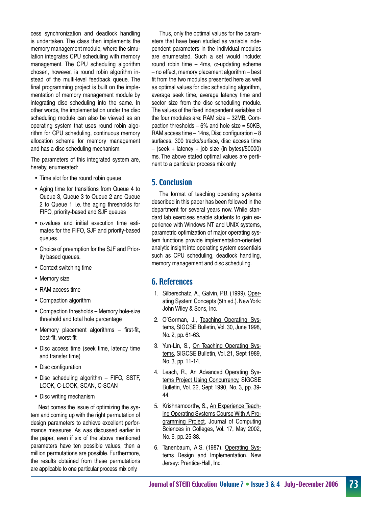cess synchronization and deadlock handling is undertaken. The class then implements the memory management module, where the simulation integrates CPU scheduling with memory management. The CPU scheduling algorithm chosen, however, is round robin algorithm instead of the multi-level feedback queue. The final programming project is built on the implementation of memory management module by integrating disc scheduling into the same. In other words, the implementation under the disc scheduling module can also be viewed as an operating system that uses round robin algorithm for CPU scheduling, continuous memory allocation scheme for memory management and has a disc scheduling mechanism.

The parameters of this integrated system are, hereby, enumerated:

- Time slot for the round robin queue
- Aging time for transitions from Queue 4 to Queue 3, Queue 3 to Queue 2 and Queue 2 to Queue 1 i.e. the aging thresholds for FIFO, priority-based and SJF queues
- $\alpha$ -values and initial execution time estimates for the FIFO, SJF and priority-based queues.
- • Choice of preemption for the SJF and Priority based queues.
- Context switching time
- Memory size
- RAM access time
- Compaction algorithm
- Compaction thresholds Memory hole-size threshold and total hole percentage
- Memory placement algorithms first-fit, best-fit, worst-fit
- Disc access time (seek time, latency time and transfer time)
- Disc configuration
- Disc scheduling algorithm FIFO, SSTF, LOOK, C-LOOK, SCAN, C-SCAN
- Disc writing mechanism

Next comes the issue of optimizing the system and coming up with the right permutation of design parameters to achieve excellent performance measures. As was discussed earlier in the paper, even if six of the above mentioned parameters have ten possible values, then a million permutations are possible. Furthermore, the results obtained from these permutations are applicable to one particular process mix only.

 Thus, only the optimal values for the parameters that have been studied as variable independent parameters in the individual modules are enumerated. Such a set would include: round robin time – 4ms,  $\alpha$ -updating scheme – no effect, memory placement algorithm – best fit from the two modules presented here as well as optimal values for disc scheduling algorithm, average seek time, average latency time and sector size from the disc scheduling module. The values of the fixed independent variables of the four modules are: RAM size – 32MB, Compaction thresholds  $-6\%$  and hole size = 50KB, RAM access time – 14ns, Disc configuration – 8 surfaces, 300 tracks/surface, disc access time  $-$  (seek + latency + job size (in bytes)/50000) ms. The above stated optimal values are pertinent to a particular process mix only.

## 5. Conclusion

 The format of teaching operating systems described in this paper has been followed in the department for several years now. While standard lab exercises enable students to gain experience with Windows NT and UNIX systems, parametric optimization of major operating system functions provide implementation-oriented analytic insight into operating system essentials such as CPU scheduling, deadlock handling, memory management and disc scheduling.

### 6. References

- 1. Silberschatz, A., Galvin, P.B. (1999). Operating System Concepts (5th ed.). New York: John Wiley & Sons, Inc.
- 2. O'Gorman, J., Teaching Operating Systems, SIGCSE Bulletin, Vol. 30, June 1998, No. 2, pp. 61-63.
- 3. Yun-Lin, S., On Teaching Operating Systems, SIGCSE Bulletin, Vol. 21, Sept 1989, No. 3, pp. 11-14.
- 4. Leach, R., An Advanced Operating Systems Project Using Concurrency, SIGCSE Bulletin, Vol. 22, Sept 1990, No. 3, pp. 39- 44.
- 5. Krishnamoorthy, S., An Experience Teaching Operating Systems Course With A Programming Project, Journal of Computing Sciences in Colleges, Vol. 17, May 2002, No. 6, pp. 25-38.
- 6. Tanenbaum, A.S. (1987). Operating Systems Design and Implementation. New Jersey: Prentice-Hall, Inc.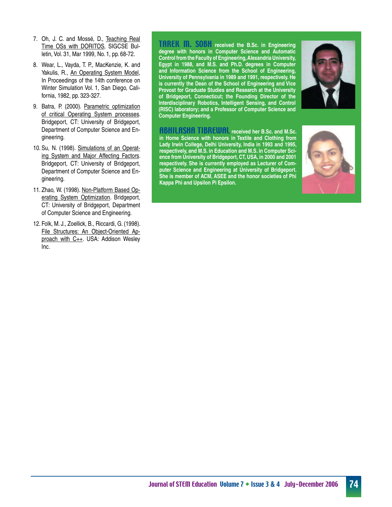- 7. Oh, J. C. and Mossé, D., Teaching Real Time OSs with DORITOS, SIGCSE Bulletin, Vol. 31, Mar 1999, No. 1, pp. 68-72.
- 8. Wear, L., Vayda, T. P., MacKenzie, K. and Yakulis, R., An Operating System Model, In Proceedings of the 14th conference on Winter Simulation Vol. 1, San Diego, California, 1982, pp. 323-327.
- 9. Batra, P. (2000). Parametric optimization of critical Operating System processes. Bridgeport, CT: University of Bridgeport, Department of Computer Science and Engineering.
- 10. Su, N. (1998). Simulations of an Operating System and Major Affecting Factors. Bridgeport, CT: University of Bridgeport, Department of Computer Science and Engineering.
- 11. Zhao, W. (1998). Non-Platform Based Operating System Optimization. Bridgeport, CT: University of Bridgeport, Department of Computer Science and Engineering.
- 12. Folk, M. J., Zoellick, B., Riccardi, G. (1998). File Structures: An Object-Oriented Approach with C++. USA: Addison Wesley Inc.

TAREK M. SOBH **received the B.Sc. in Engineering degree with honors in Computer Science and Automatic Control from the Faculty of Engineering, Alexandria University, Egypt in 1988, and M.S. and Ph.D. degrees in Computer and Information Science from the School of Engineering, University of Pennsylvania in 1989 and 1991, respectively. He is currently the Dean of the School of Engineering and Vice Provost for Graduate Studies and Research at the University of Bridgeport, Connecticut; the Founding Director of the Interdisciplinary Robotics, Intelligent Sensing, and Control (RISC) laboratory; and a Professor of Computer Science and Computer Engineering.**



ABHILASHA TIBREWAL **received her B.Sc. and M.Sc. in Home Science with honors in Textile and Clothing from Lady Irwin College, Delhi University, India in 1993 and 1995, respectively, and M.S. in Education and M.S. in Computer Science from University of Bridgeport, CT, USA, in 2000 and 2001 respectively. She is currently employed as Lecturer of Computer Science and Engineering at University of Bridgeport. She is member of ACM, ASEE and the honor societies of Phi Kappa Phi and Upsilon Pi Epsilon.**

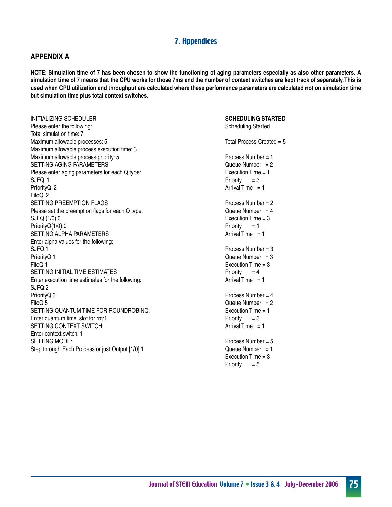## 7. Appendices

#### **APPENDIX A**

**NOTE: Simulation time of 7 has been chosen to show the functioning of aging parameters especially as also other parameters. A simulation time of 7 means that the CPU works for those 7ms and the number of context switches are kept track of separately. This is used when CPU utilization and throughput are calculated where these performance parameters are calculated not on simulation time but simulation time plus total context switches.**

INITIALIZING SCHEDULER Please enter the following: Total simulation time: 7 Maximum allowable processes: 5 Maximum allowable process execution time: 3 Maximum allowable process priority: 5 SETTING AGING PARAMETERS Please enter aging parameters for each Q type: SJFQ: 1 PriorityQ: 2 FifoQ: 2 SETTING PREEMPTION FLAGS Please set the preemption flags for each Q type: SJFQ (1/0):0 PriorityQ(1/0):0 SETTING ALPHA PARAMETERS Enter alpha values for the following: SJFQ:1 PriorityQ:1 FifoQ:1 SETTING INITIAL TIME ESTIMATES Enter execution time estimates for the following: SJFQ:2 PriorityQ:3 FifoQ:5 SETTING QUANTUM TIME FOR ROUNDROBINQ: Enter quantum time slot for rrq:1 SETTING CONTEXT SWITCH: Enter context switch: 1 SETTING MODE: Step through Each Process or just Output [1/0]:1

**SCHEDULING STARTED** Scheduling Started Total Process Created  $= 5$ Process Number = 1 Queue Number  $= 2$ Execution Time = 1 Priority  $= 3$ Arrival Time  $= 1$ Process Number = 2 Queue Number  $= 4$ Execution Time = 3 Priority  $= 1$ Arrival Time  $= 1$ Process Number = 3 Queue Number  $= 3$ Execution Time = 3 Priority  $= 4$ Arrival Time  $= 1$ Process Number = 4 Queue Number  $= 2$ Execution Time = 1 Priority  $= 3$ Arrival Time  $= 1$ Process Number = 5 Queue Number  $= 1$ Execution Time = 3 Priority  $= 5$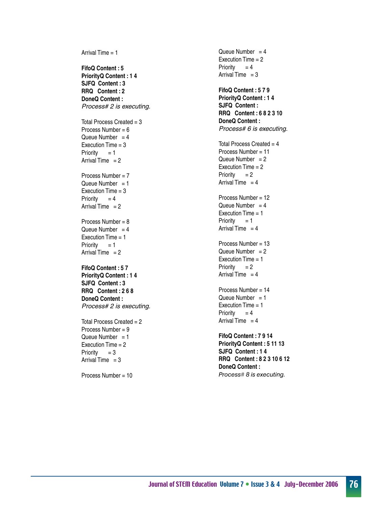Arrival Time = 1 **FifoQ Content : 5 PriorityQ Content : 1 4 SJFQ Content : 3 RRQ Content : 2 DoneQ Content :** *Process# 2 is executing.* Total Process Created = 3 Process Number = 6 Queue Number  $= 4$ Execution Time = 3 Priority  $= 1$ Arrival Time  $= 2$ Process Number = 7 Queue Number  $= 1$ Execution Time = 3 Priority  $= 4$ Arrival Time  $= 2$ Process Number = 8 Queue Number  $= 4$ Execution Time = 1 Priority  $= 1$ Arrival Time  $= 2$ **FifoQ Content : 5 7 PriorityQ Content : 1 4 SJFQ Content : 3 RRQ Content : 2 6 8 DoneQ Content :** *Process# 2 is executing.* Total Process Created = 2 Process Number = 9 Queue Number  $= 1$ Execution Time = 2 Priority  $= 3$ Arrival Time  $= 3$ 

Process Number = 10

Queue Number  $= 4$ Execution Time = 2 Priority  $= 4$ Arrival Time  $= 3$ **FifoQ Content : 5 7 9 PriorityQ Content : 1 4 SJFQ Content : RRQ Content : 6 8 2 3 10 DoneQ Content :** *Process# 6 is executing.* Total Process Created  $= 4$ Process Number = 11 Queue Number  $= 2$ Execution Time = 2 Priority  $= 2$ Arrival Time  $= 4$ Process Number = 12 Queue Number  $= 4$ Execution Time = 1 Priority  $= 1$ Arrival Time  $= 4$ Process Number = 13 Queue Number  $= 2$ Execution Time = 1 Priority  $= 2$ Arrival Time  $= 4$ Process Number = 14 Queue Number  $= 1$ Execution Time = 1 Priority  $= 4$ Arrival Time  $= 4$ **FifoQ Content : 7 9 14 PriorityQ Content : 5 11 13 SJFQ Content : 1 4 RRQ Content : 8 2 3 10 6 12 DoneQ Content :** Process# 8 is executing.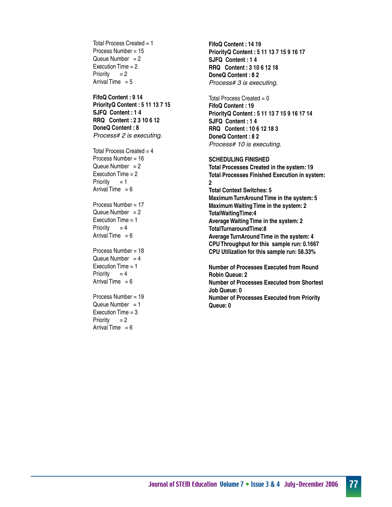Total Process Created  $= 1$ Process Number = 15 Queue Number  $= 2$ Execution Time = 2 Priority  $= 2$ Arrival Time  $= 5$ **FifoQ Content : 9 14 PriorityQ Content : 5 11 13 7 15 SJFQ Content : 1 4 RRQ Content : 2 3 10 6 12 DoneQ Content : 8** *Process# 2 is executing.* Total Process Created  $= 4$ Process Number = 16 Queue Number  $= 2$ Execution Time = 2 Priority  $= 1$ Arrival Time  $= 6$ Process Number = 17 Queue Number  $= 2$ Execution Time  $= 1$ Priority  $= 4$ Arrival Time  $= 6$ Process Number = 18 Queue Number  $= 4$ Execution Time  $= 1$ Priority  $= 4$ Arrival Time  $= 6$ Process Number = 19 Queue Number  $= 1$ Execution Time = 3 Priority  $= 2$ 

Arrival Time  $= 6$ 

**FifoQ Content : 14 19 PriorityQ Content : 5 11 13 7 15 9 16 17 SJFQ Content : 1 4 RRQ Content : 3 10 6 12 18 DoneQ Content : 8 2** *Process# 3 is executing.*

Total Process Created  $= 0$ **FifoQ Content : 19 PriorityQ Content : 5 11 13 7 15 9 16 17 14 SJFQ Content : 1 4 RRQ Content : 10 6 12 18 3 DoneQ Content : 8 2** *Process# 10 is executing.*

**SCHEDULING FINISHED Total Processes Created in the system: 19 Total Processes Finished Execution in system: 2 Total Context Switches: 5 Maximum TurnAround Time in the system: 5 Maximum Waiting Time in the system: 2 TotalWaitingTime:4 Average Waiting Time in the system: 2 TotalTurnaroundTime:8 Average TurnAround Time in the system: 4 CPU Throughput for this sample run: 0.1667 CPU Utilization for this sample run: 58.33%**

**Number of Processes Executed from Round Robin Queue: 2 Number of Processes Executed from Shortest Job Queue: 0 Number of Processes Executed from Priority Queue: 0**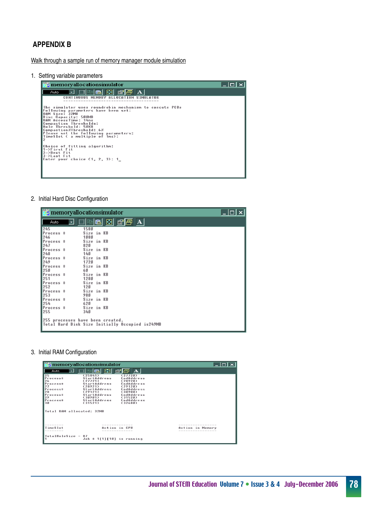## **APPENDIX B**

Walk through a sample run of memory manager module simulation

1. Setting variable parameters



2. Initial Hard Disc Configuration

|           |   | <b>For memoryallocationsimulator</b>                                                |  |                                     |  |  |  |  |  |
|-----------|---|-------------------------------------------------------------------------------------|--|-------------------------------------|--|--|--|--|--|
| Π<br>Auto | 회 | 8 B B B                                                                             |  | $\mathbb{E}[\mathbf{E} \mathbf{A}]$ |  |  |  |  |  |
| 245       |   | 1580                                                                                |  |                                     |  |  |  |  |  |
| Process # |   | Size in KB                                                                          |  |                                     |  |  |  |  |  |
| 246       |   | 1080                                                                                |  |                                     |  |  |  |  |  |
| Process # |   | Size in KB                                                                          |  |                                     |  |  |  |  |  |
| 247       |   | 820                                                                                 |  |                                     |  |  |  |  |  |
| Process # |   | Size in KB                                                                          |  |                                     |  |  |  |  |  |
| 248       |   | 140                                                                                 |  |                                     |  |  |  |  |  |
| Process # |   | Size in KB                                                                          |  |                                     |  |  |  |  |  |
| 1249      |   | 1720                                                                                |  |                                     |  |  |  |  |  |
| Process # |   | Size in KB                                                                          |  |                                     |  |  |  |  |  |
| 250       |   | 60                                                                                  |  |                                     |  |  |  |  |  |
| Process # |   | Size in KB                                                                          |  |                                     |  |  |  |  |  |
| 251       |   | 1280                                                                                |  |                                     |  |  |  |  |  |
| Process # |   | Size in KB                                                                          |  |                                     |  |  |  |  |  |
| 252       |   | 120                                                                                 |  |                                     |  |  |  |  |  |
| Process # |   | Size in KB                                                                          |  |                                     |  |  |  |  |  |
| 253       |   | 980                                                                                 |  |                                     |  |  |  |  |  |
| Process # |   | Size in KB                                                                          |  |                                     |  |  |  |  |  |
| 254       |   | 620                                                                                 |  |                                     |  |  |  |  |  |
| Process # |   | Size in KB                                                                          |  |                                     |  |  |  |  |  |
| 255       |   | 340                                                                                 |  |                                     |  |  |  |  |  |
|           |   | 255 processes have been created.<br>Total Hard Disk Size Initially Occupied is249MB |  |                                     |  |  |  |  |  |

3. Initial RAM Configuration